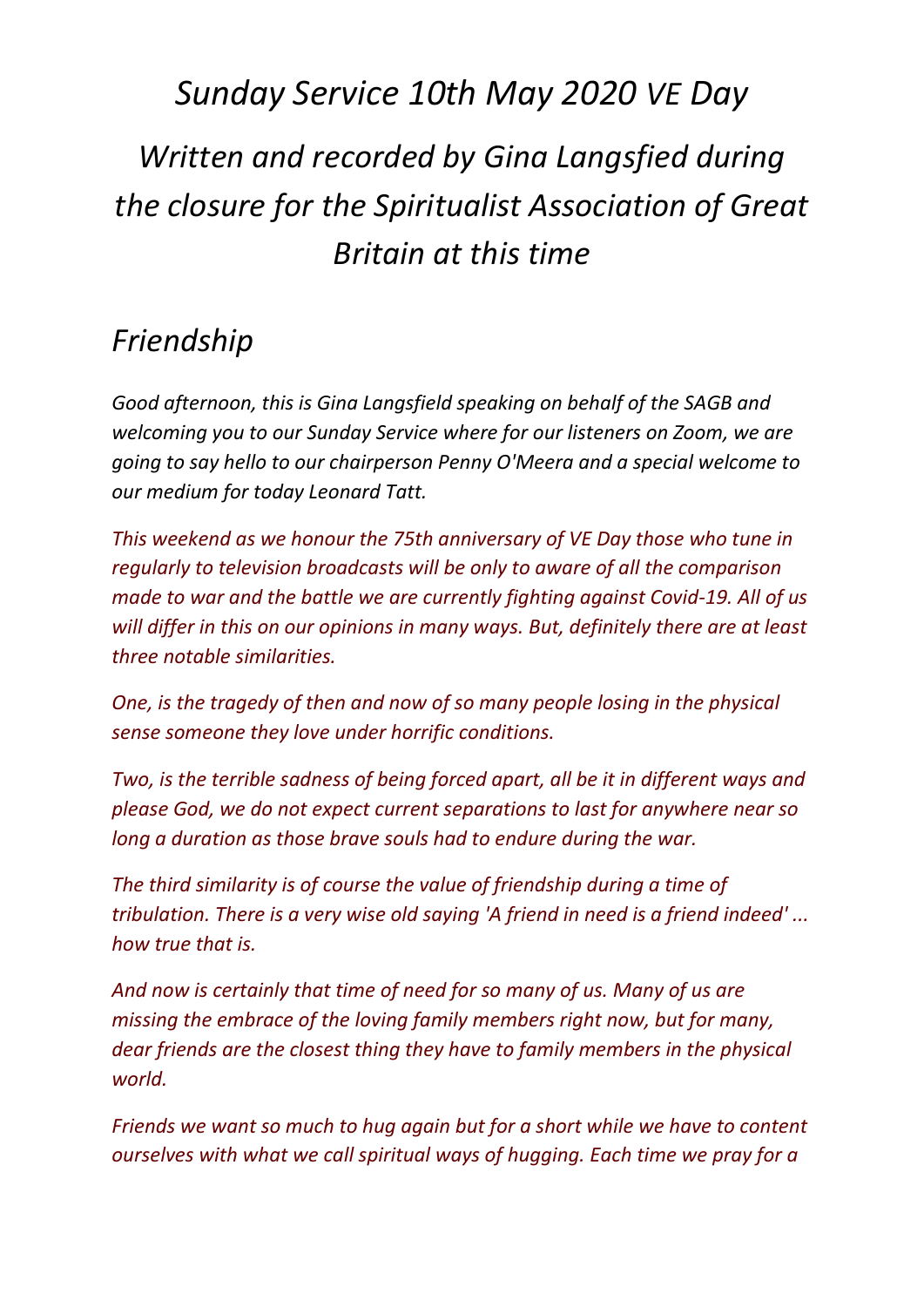## *Sunday Service 10th May 2020 VE Day Written and recorded by Gina Langsfied during the closure for the Spiritualist Association of Great Britain at this time*

## *Friendship*

*Good afternoon, this is Gina Langsfield speaking on behalf of the SAGB and welcoming you to our Sunday Service where for our listeners on Zoom, we are going to say hello to our chairperson Penny O'Meera and a special welcome to our medium for today Leonard Tatt.*

*This weekend as we honour the 75th anniversary of VE Day those who tune in regularly to television broadcasts will be only to aware of all the comparison made to war and the battle we are currently fighting against Covid-19. All of us will differ in this on our opinions in many ways. But, definitely there are at least three notable similarities.* 

*One, is the tragedy of then and now of so many people losing in the physical sense someone they love under horrific conditions.*

*Two, is the terrible sadness of being forced apart, all be it in different ways and please God, we do not expect current separations to last for anywhere near so long a duration as those brave souls had to endure during the war.*

*The third similarity is of course the value of friendship during a time of tribulation. There is a very wise old saying 'A friend in need is a friend indeed' ... how true that is.*

*And now is certainly that time of need for so many of us. Many of us are missing the embrace of the loving family members right now, but for many, dear friends are the closest thing they have to family members in the physical world.* 

*Friends we want so much to hug again but for a short while we have to content ourselves with what we call spiritual ways of hugging. Each time we pray for a*